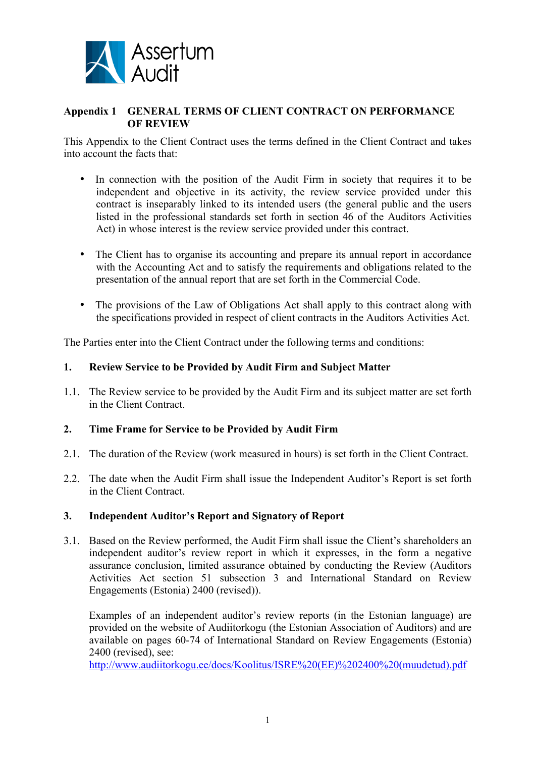

## **Appendix 1 GENERAL TERMS OF CLIENT CONTRACT ON PERFORMANCE OF REVIEW**

This Appendix to the Client Contract uses the terms defined in the Client Contract and takes into account the facts that:

- In connection with the position of the Audit Firm in society that requires it to be independent and objective in its activity, the review service provided under this contract is inseparably linked to its intended users (the general public and the users listed in the professional standards set forth in section 46 of the Auditors Activities Act) in whose interest is the review service provided under this contract.
- The Client has to organise its accounting and prepare its annual report in accordance with the Accounting Act and to satisfy the requirements and obligations related to the presentation of the annual report that are set forth in the Commercial Code.
- The provisions of the Law of Obligations Act shall apply to this contract along with the specifications provided in respect of client contracts in the Auditors Activities Act.

The Parties enter into the Client Contract under the following terms and conditions:

### **1. Review Service to be Provided by Audit Firm and Subject Matter**

1.1. The Review service to be provided by the Audit Firm and its subject matter are set forth in the Client Contract.

## **2. Time Frame for Service to be Provided by Audit Firm**

- 2.1. The duration of the Review (work measured in hours) is set forth in the Client Contract.
- 2.2. The date when the Audit Firm shall issue the Independent Auditor's Report is set forth in the Client Contract.

## **3. Independent Auditor's Report and Signatory of Report**

3.1. Based on the Review performed, the Audit Firm shall issue the Client's shareholders an independent auditor's review report in which it expresses, in the form a negative assurance conclusion, limited assurance obtained by conducting the Review (Auditors Activities Act section 51 subsection 3 and International Standard on Review Engagements (Estonia) 2400 (revised)).

Examples of an independent auditor's review reports (in the Estonian language) are provided on the website of Audiitorkogu (the Estonian Association of Auditors) and are available on pages 60-74 of International Standard on Review Engagements (Estonia) 2400 (revised), see:

http://www.audiitorkogu.ee/docs/Koolitus/ISRE%20(EE)%202400%20(muudetud).pdf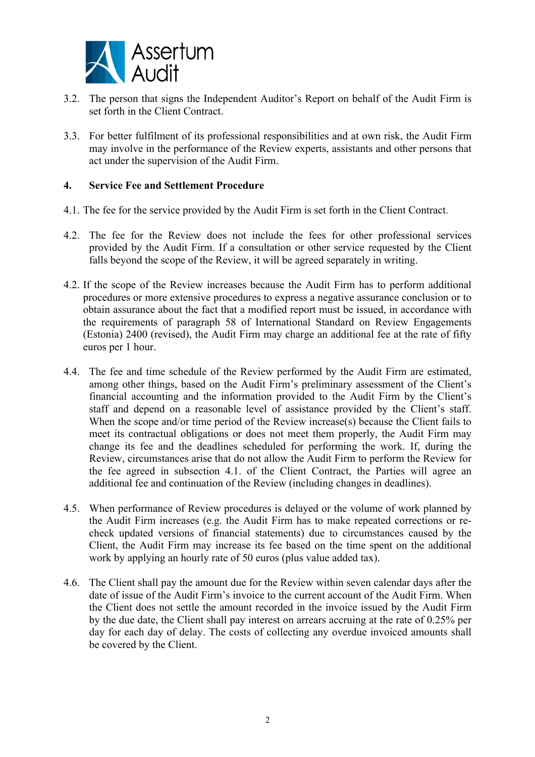

- 3.2. The person that signs the Independent Auditor's Report on behalf of the Audit Firm is set forth in the Client Contract.
- 3.3. For better fulfilment of its professional responsibilities and at own risk, the Audit Firm may involve in the performance of the Review experts, assistants and other persons that act under the supervision of the Audit Firm.

### **4. Service Fee and Settlement Procedure**

- 4.1. The fee for the service provided by the Audit Firm is set forth in the Client Contract.
- 4.2. The fee for the Review does not include the fees for other professional services provided by the Audit Firm. If a consultation or other service requested by the Client falls beyond the scope of the Review, it will be agreed separately in writing.
- 4.2. If the scope of the Review increases because the Audit Firm has to perform additional procedures or more extensive procedures to express a negative assurance conclusion or to obtain assurance about the fact that a modified report must be issued, in accordance with the requirements of paragraph 58 of International Standard on Review Engagements (Estonia) 2400 (revised), the Audit Firm may charge an additional fee at the rate of fifty euros per 1 hour.
- 4.4. The fee and time schedule of the Review performed by the Audit Firm are estimated, among other things, based on the Audit Firm's preliminary assessment of the Client's financial accounting and the information provided to the Audit Firm by the Client's staff and depend on a reasonable level of assistance provided by the Client's staff. When the scope and/or time period of the Review increase(s) because the Client fails to meet its contractual obligations or does not meet them properly, the Audit Firm may change its fee and the deadlines scheduled for performing the work. If, during the Review, circumstances arise that do not allow the Audit Firm to perform the Review for the fee agreed in subsection 4.1. of the Client Contract, the Parties will agree an additional fee and continuation of the Review (including changes in deadlines).
- 4.5. When performance of Review procedures is delayed or the volume of work planned by the Audit Firm increases (e.g. the Audit Firm has to make repeated corrections or recheck updated versions of financial statements) due to circumstances caused by the Client, the Audit Firm may increase its fee based on the time spent on the additional work by applying an hourly rate of 50 euros (plus value added tax).
- 4.6. The Client shall pay the amount due for the Review within seven calendar days after the date of issue of the Audit Firm's invoice to the current account of the Audit Firm. When the Client does not settle the amount recorded in the invoice issued by the Audit Firm by the due date, the Client shall pay interest on arrears accruing at the rate of 0.25% per day for each day of delay. The costs of collecting any overdue invoiced amounts shall be covered by the Client.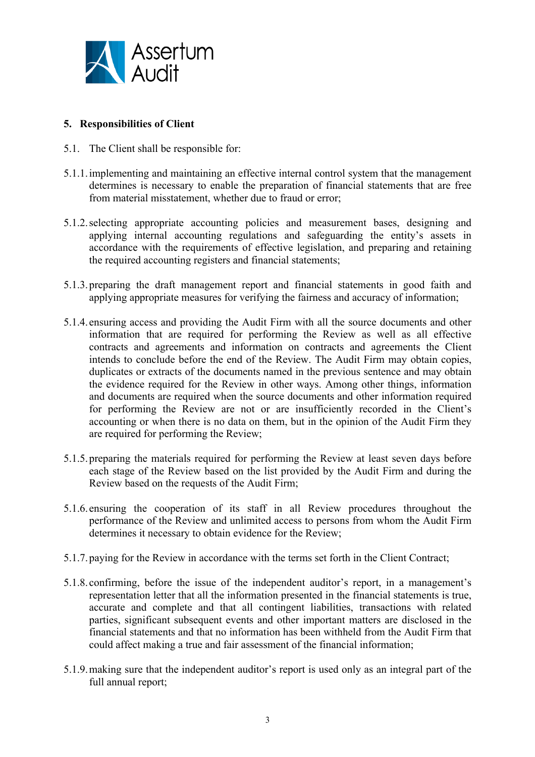

## **5. Responsibilities of Client**

- 5.1. The Client shall be responsible for:
- 5.1.1.implementing and maintaining an effective internal control system that the management determines is necessary to enable the preparation of financial statements that are free from material misstatement, whether due to fraud or error;
- 5.1.2.selecting appropriate accounting policies and measurement bases, designing and applying internal accounting regulations and safeguarding the entity's assets in accordance with the requirements of effective legislation, and preparing and retaining the required accounting registers and financial statements;
- 5.1.3.preparing the draft management report and financial statements in good faith and applying appropriate measures for verifying the fairness and accuracy of information;
- 5.1.4. ensuring access and providing the Audit Firm with all the source documents and other information that are required for performing the Review as well as all effective contracts and agreements and information on contracts and agreements the Client intends to conclude before the end of the Review. The Audit Firm may obtain copies, duplicates or extracts of the documents named in the previous sentence and may obtain the evidence required for the Review in other ways. Among other things, information and documents are required when the source documents and other information required for performing the Review are not or are insufficiently recorded in the Client's accounting or when there is no data on them, but in the opinion of the Audit Firm they are required for performing the Review;
- 5.1.5.preparing the materials required for performing the Review at least seven days before each stage of the Review based on the list provided by the Audit Firm and during the Review based on the requests of the Audit Firm;
- 5.1.6. ensuring the cooperation of its staff in all Review procedures throughout the performance of the Review and unlimited access to persons from whom the Audit Firm determines it necessary to obtain evidence for the Review;
- 5.1.7.paying for the Review in accordance with the terms set forth in the Client Contract;
- 5.1.8. confirming, before the issue of the independent auditor's report, in a management's representation letter that all the information presented in the financial statements is true, accurate and complete and that all contingent liabilities, transactions with related parties, significant subsequent events and other important matters are disclosed in the financial statements and that no information has been withheld from the Audit Firm that could affect making a true and fair assessment of the financial information;
- 5.1.9.making sure that the independent auditor's report is used only as an integral part of the full annual report;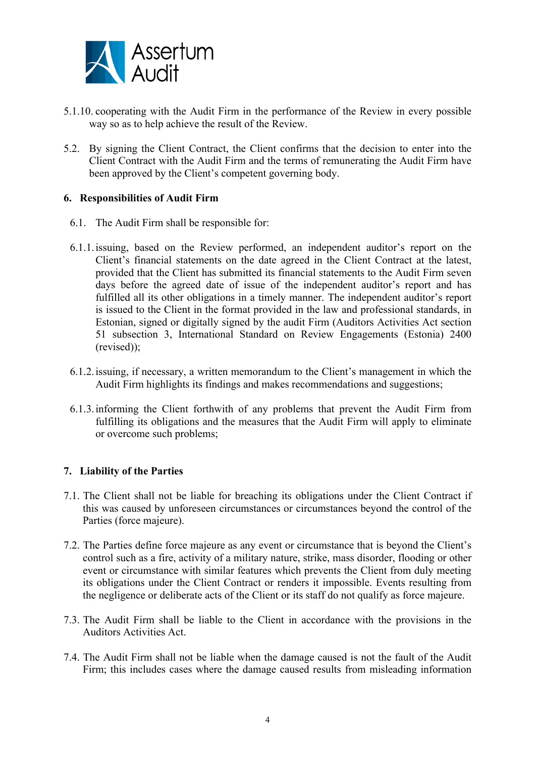

- 5.1.10. cooperating with the Audit Firm in the performance of the Review in every possible way so as to help achieve the result of the Review.
- 5.2. By signing the Client Contract, the Client confirms that the decision to enter into the Client Contract with the Audit Firm and the terms of remunerating the Audit Firm have been approved by the Client's competent governing body.

### **6. Responsibilities of Audit Firm**

- 6.1. The Audit Firm shall be responsible for:
- 6.1.1.issuing, based on the Review performed, an independent auditor's report on the Client's financial statements on the date agreed in the Client Contract at the latest, provided that the Client has submitted its financial statements to the Audit Firm seven days before the agreed date of issue of the independent auditor's report and has fulfilled all its other obligations in a timely manner. The independent auditor's report is issued to the Client in the format provided in the law and professional standards, in Estonian, signed or digitally signed by the audit Firm (Auditors Activities Act section 51 subsection 3, International Standard on Review Engagements (Estonia) 2400 (revised));
- 6.1.2.issuing, if necessary, a written memorandum to the Client's management in which the Audit Firm highlights its findings and makes recommendations and suggestions;
- 6.1.3.informing the Client forthwith of any problems that prevent the Audit Firm from fulfilling its obligations and the measures that the Audit Firm will apply to eliminate or overcome such problems;

## **7. Liability of the Parties**

- 7.1. The Client shall not be liable for breaching its obligations under the Client Contract if this was caused by unforeseen circumstances or circumstances beyond the control of the Parties (force majeure).
- 7.2. The Parties define force majeure as any event or circumstance that is beyond the Client's control such as a fire, activity of a military nature, strike, mass disorder, flooding or other event or circumstance with similar features which prevents the Client from duly meeting its obligations under the Client Contract or renders it impossible. Events resulting from the negligence or deliberate acts of the Client or its staff do not qualify as force majeure.
- 7.3. The Audit Firm shall be liable to the Client in accordance with the provisions in the Auditors Activities Act.
- 7.4. The Audit Firm shall not be liable when the damage caused is not the fault of the Audit Firm; this includes cases where the damage caused results from misleading information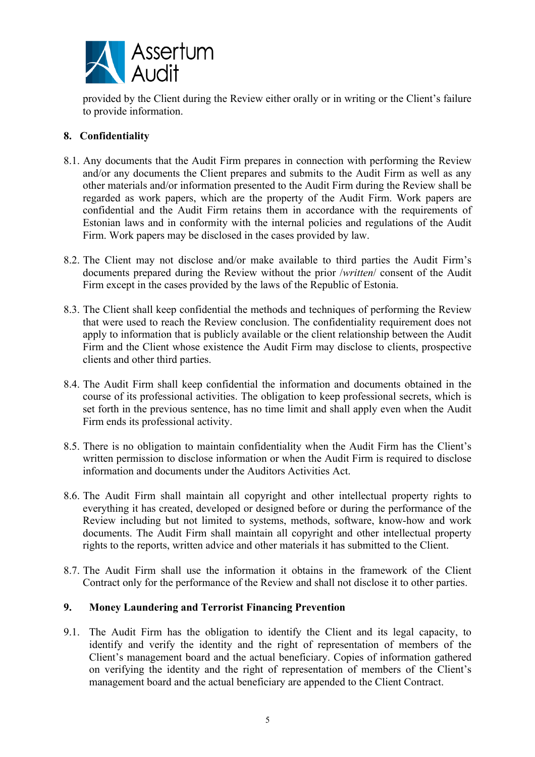

provided by the Client during the Review either orally or in writing or the Client's failure to provide information.

# **8. Confidentiality**

- 8.1. Any documents that the Audit Firm prepares in connection with performing the Review and/or any documents the Client prepares and submits to the Audit Firm as well as any other materials and/or information presented to the Audit Firm during the Review shall be regarded as work papers, which are the property of the Audit Firm. Work papers are confidential and the Audit Firm retains them in accordance with the requirements of Estonian laws and in conformity with the internal policies and regulations of the Audit Firm. Work papers may be disclosed in the cases provided by law.
- 8.2. The Client may not disclose and/or make available to third parties the Audit Firm's documents prepared during the Review without the prior /*written*/ consent of the Audit Firm except in the cases provided by the laws of the Republic of Estonia.
- 8.3. The Client shall keep confidential the methods and techniques of performing the Review that were used to reach the Review conclusion. The confidentiality requirement does not apply to information that is publicly available or the client relationship between the Audit Firm and the Client whose existence the Audit Firm may disclose to clients, prospective clients and other third parties.
- 8.4. The Audit Firm shall keep confidential the information and documents obtained in the course of its professional activities. The obligation to keep professional secrets, which is set forth in the previous sentence, has no time limit and shall apply even when the Audit Firm ends its professional activity.
- 8.5. There is no obligation to maintain confidentiality when the Audit Firm has the Client's written permission to disclose information or when the Audit Firm is required to disclose information and documents under the Auditors Activities Act.
- 8.6. The Audit Firm shall maintain all copyright and other intellectual property rights to everything it has created, developed or designed before or during the performance of the Review including but not limited to systems, methods, software, know-how and work documents. The Audit Firm shall maintain all copyright and other intellectual property rights to the reports, written advice and other materials it has submitted to the Client.
- 8.7. The Audit Firm shall use the information it obtains in the framework of the Client Contract only for the performance of the Review and shall not disclose it to other parties.

## **9. Money Laundering and Terrorist Financing Prevention**

9.1. The Audit Firm has the obligation to identify the Client and its legal capacity, to identify and verify the identity and the right of representation of members of the Client's management board and the actual beneficiary. Copies of information gathered on verifying the identity and the right of representation of members of the Client's management board and the actual beneficiary are appended to the Client Contract.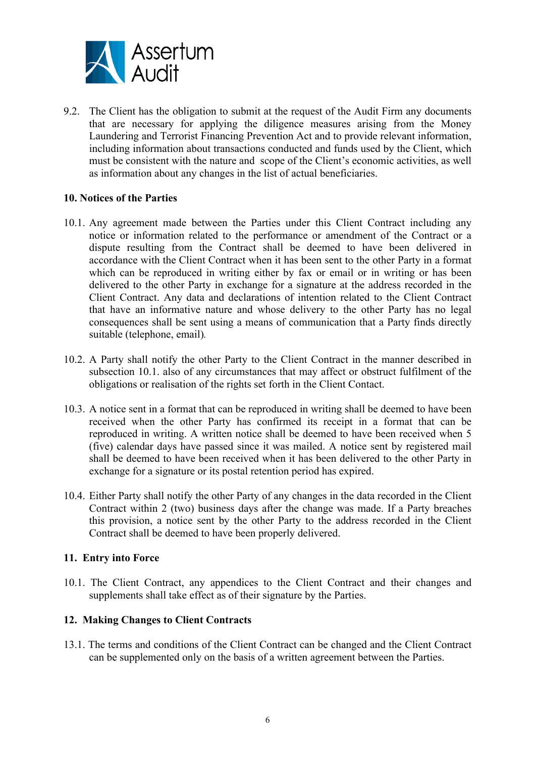

9.2. The Client has the obligation to submit at the request of the Audit Firm any documents that are necessary for applying the diligence measures arising from the Money Laundering and Terrorist Financing Prevention Act and to provide relevant information, including information about transactions conducted and funds used by the Client, which must be consistent with the nature and scope of the Client's economic activities, as well as information about any changes in the list of actual beneficiaries.

### **10. Notices of the Parties**

- 10.1. Any agreement made between the Parties under this Client Contract including any notice or information related to the performance or amendment of the Contract or a dispute resulting from the Contract shall be deemed to have been delivered in accordance with the Client Contract when it has been sent to the other Party in a format which can be reproduced in writing either by fax or email or in writing or has been delivered to the other Party in exchange for a signature at the address recorded in the Client Contract. Any data and declarations of intention related to the Client Contract that have an informative nature and whose delivery to the other Party has no legal consequences shall be sent using a means of communication that a Party finds directly suitable (telephone, email)*.*
- 10.2. A Party shall notify the other Party to the Client Contract in the manner described in subsection 10.1. also of any circumstances that may affect or obstruct fulfilment of the obligations or realisation of the rights set forth in the Client Contact.
- 10.3. A notice sent in a format that can be reproduced in writing shall be deemed to have been received when the other Party has confirmed its receipt in a format that can be reproduced in writing. A written notice shall be deemed to have been received when 5 (five) calendar days have passed since it was mailed. A notice sent by registered mail shall be deemed to have been received when it has been delivered to the other Party in exchange for a signature or its postal retention period has expired.
- 10.4. Either Party shall notify the other Party of any changes in the data recorded in the Client Contract within 2 (two) business days after the change was made. If a Party breaches this provision, a notice sent by the other Party to the address recorded in the Client Contract shall be deemed to have been properly delivered.

## **11. Entry into Force**

10.1. The Client Contract, any appendices to the Client Contract and their changes and supplements shall take effect as of their signature by the Parties.

## **12. Making Changes to Client Contracts**

13.1. The terms and conditions of the Client Contract can be changed and the Client Contract can be supplemented only on the basis of a written agreement between the Parties.